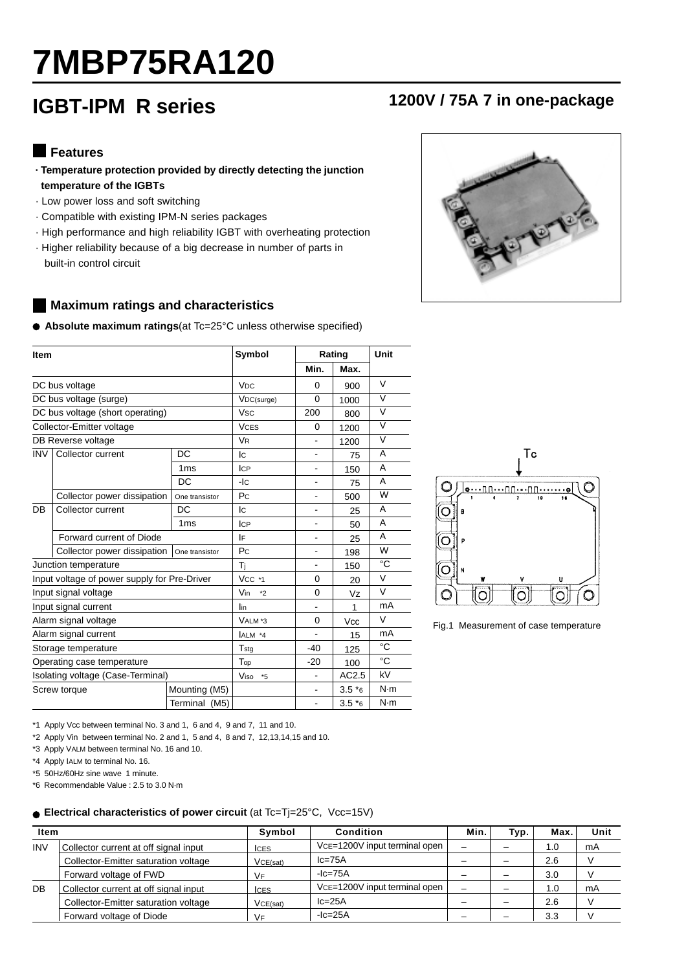# **7MBP75RA120**

# **IGBT-IPM R series 1200V / 75A 7 in one-package**

#### **Features**

- **· Temperature protection provided by directly detecting the junction temperature of the IGBTs**
- · Low power loss and soft switching
- · Compatible with existing IPM-N series packages
- · High performance and high reliability IGBT with overheating protection
- · Higher reliability because of a big decrease in number of parts in built-in control circuit

#### **Maximum ratings and characteristics**

**Absolute maximum ratings**(at Tc=25°C unless otherwise specified)

| <b>Item</b>                       |                                              |                       | Symbol                | Rating                   | Unit                |                         |
|-----------------------------------|----------------------------------------------|-----------------------|-----------------------|--------------------------|---------------------|-------------------------|
|                                   |                                              |                       |                       | Min.                     | Max.                |                         |
|                                   | DC bus voltage                               | <b>V<sub>DC</sub></b> | 0                     | 900                      | V                   |                         |
|                                   | DC bus voltage (surge)                       |                       | VDC(surge)            | $\Omega$                 | 1000                | $\overline{\mathsf{v}}$ |
|                                   | DC bus voltage (short operating)             |                       | <b>V<sub>sc</sub></b> | 200                      | 800                 | $\overline{\mathsf{v}}$ |
|                                   | Collector-Emitter voltage                    |                       | <b>VCES</b>           | 0                        | 1200                | V                       |
|                                   | DB Reverse voltage                           |                       | <b>V<sub>R</sub></b>  | $\overline{\phantom{0}}$ | 1200                | V                       |
| <b>INV</b>                        | Collector current                            | <b>DC</b>             | lc.                   |                          | 75                  | A                       |
|                                   |                                              | 1 <sub>ms</sub>       | <b>ICP</b>            | $\blacksquare$           | 150                 | A                       |
|                                   |                                              | <b>DC</b>             | $-IC$                 | $\blacksquare$           | 75                  | A                       |
|                                   | Collector power dissipation                  | One transistor        | Pc                    | $\blacksquare$           | 500                 | W                       |
| DB                                | Collector current                            | DC                    | lc.                   | $\overline{\phantom{0}}$ | 25                  | A                       |
|                                   |                                              | 1 <sub>ms</sub>       | <b>ICP</b>            |                          | 50                  | A                       |
|                                   | Forward current of Diode                     |                       | IF                    |                          | 25                  | A                       |
|                                   | Collector power dissipation                  | Pc                    | $\blacksquare$        | 198                      | W                   |                         |
|                                   | Junction temperature                         |                       | Tì                    | $\frac{1}{2}$            | 150                 | °C                      |
|                                   | Input voltage of power supply for Pre-Driver |                       | $Vcc$ *1              | 0                        | 20                  | $\vee$                  |
|                                   | Input signal voltage                         |                       | Vin<br>$*2$           | $\Omega$                 | Vz                  | $\vee$                  |
|                                   | Input signal current                         |                       | lin                   |                          | 1                   | mA                      |
|                                   | Alarm signal voltage                         |                       | VALM*3                | 0                        | Vcc                 | $\vee$                  |
|                                   | Alarm signal current                         |                       | ALM *4                | L.                       | 15                  | mA                      |
| Storage temperature               |                                              |                       | Tstg                  | $-40$                    | 125                 | °C                      |
| Operating case temperature        |                                              |                       | Top                   | $-20$                    | 100                 | °C                      |
| Isolating voltage (Case-Terminal) |                                              |                       | Viso<br>$*5$          |                          | AC2.5               | kV                      |
| Screw torque                      |                                              | Mounting (M5)         |                       |                          | $3.5*$ <sub>6</sub> | N·m                     |
|                                   |                                              | Terminal (M5)         |                       |                          | $3.5*$ 6            | N·m                     |



Fig.1 Measurement of case temperature

\*1 Apply Vcc between terminal No. 3 and 1, 6 and 4, 9 and 7, 11 and 10.

\*2 Apply Vin between terminal No. 2 and 1, 5 and 4, 8 and 7, 12,13,14,15 and 10.

\*3 Apply VALM between terminal No. 16 and 10.

\*4 Apply IALM to terminal No. 16.

\*5 50Hz/60Hz sine wave 1 minute.

\*6 Recommendable Value : 2.5 to 3.0 N·m

#### ● Electrical characteristics of power circuit (at Tc=Tj=25°C, Vcc=15V)

| <b>Item</b> |                                       | Symbol      | Condition                     | Min.                     | Typ. | Max. | Unit |
|-------------|---------------------------------------|-------------|-------------------------------|--------------------------|------|------|------|
| <b>INV</b>  | Collector current at off signal input | <b>ICES</b> |                               |                          |      | 1.0  | mA   |
|             | Collector-Emitter saturation voltage  | VCE(sat)    | $lc = 75A$                    |                          |      | 2.6  |      |
|             | Forward voltage of FWD                | VF          | $ c=75A$                      |                          |      | 3.0  |      |
| DB          | Collector current at off signal input | <b>ICES</b> | VCE=1200V input terminal open |                          |      | 1.0  | mA   |
|             | Collector-Emitter saturation voltage  | VCE(sat)    | $lc = 25A$                    |                          |      | 2.6  |      |
|             | Forward voltage of Diode              | VF          | $-$ Ic=25A                    | $\overline{\phantom{a}}$ |      | 3.3  |      |

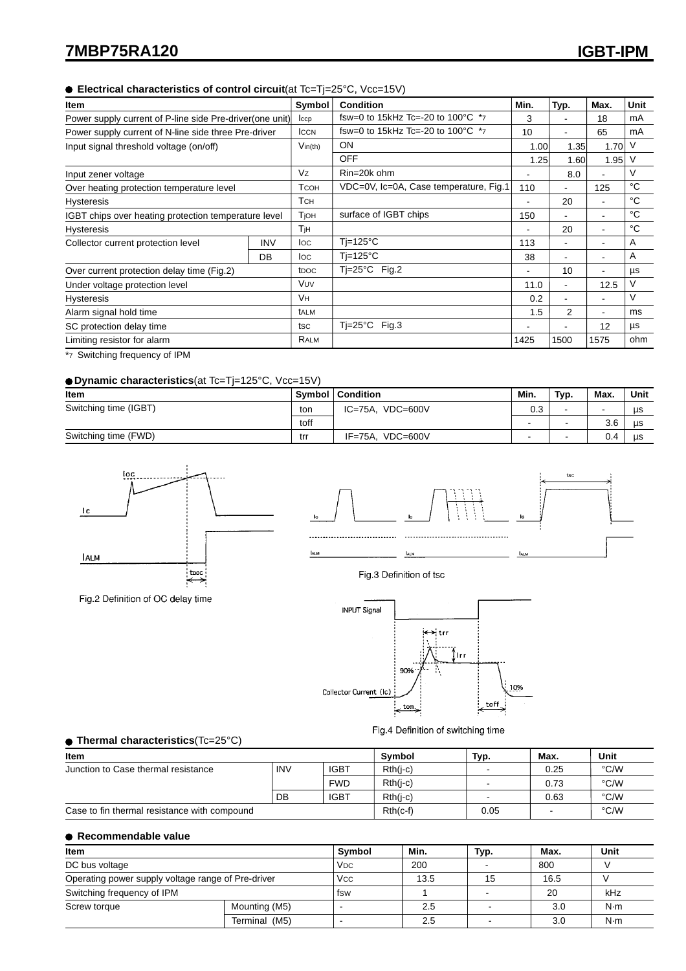#### **Electrical characteristics of control circuit**(at Tc=Tj=25°C, Vcc=15V)

| Item                                                      |            | Symbol           | <b>Condition</b>                        | Min. | Typ.                         | Max. | Unit |
|-----------------------------------------------------------|------------|------------------|-----------------------------------------|------|------------------------------|------|------|
| Power supply current of P-line side Pre-driver (one unit) |            | $_{\rm lccp}$    | fsw=0 to 15kHz Tc=-20 to 100 °C $*_{7}$ | 3    |                              | 18   | mA   |
| Power supply current of N-line side three Pre-driver      |            | <b>ICCN</b>      | fsw=0 to 15kHz Tc=-20 to 100 °C $*_{7}$ | 10   |                              | 65   | mA   |
| Input signal threshold voltage (on/off)                   |            | $V$ in(th)       | <b>ON</b>                               | 1.00 | 1.35                         | 1.70 | V    |
|                                                           |            |                  | <b>OFF</b>                              | 1.25 | 1.60                         | 1.95 | V    |
| Input zener voltage                                       |            | Vz               | Rin=20k ohm                             |      | 8.0                          | ۰    | V    |
| Over heating protection temperature level                 |            | Тсон             | VDC=0V, Ic=0A, Case temperature, Fig.1  | 110  | ۰                            | 125  | °C   |
| <b>Hysteresis</b>                                         |            | Тсн              |                                         |      | 20                           | ۰    | °C   |
| IGBT chips over heating protection temperature level      |            | Tioh             | surface of IGBT chips                   | 150  |                              | ۰    | °C   |
| <b>Hysteresis</b>                                         |            | Тјн              |                                         |      | 20                           | ٠    | °C   |
| Collector current protection level                        | <b>INV</b> | loc              | $Ti=125^{\circ}C$                       | 113  | ۰                            | ۰    | Α    |
|                                                           | DB         | loc              | $Ti=125^{\circ}C$                       | 38   | ۰                            | ۰    | Α    |
| Over current protection delay time (Fig.2)                |            | t <sub>DOC</sub> | $Ti=25^{\circ}C$ Fig.2                  |      | 10                           | ۰    | μs   |
| Under voltage protection level                            |            | Vuv              |                                         | 11.0 | $\qquad \qquad \blacksquare$ | 12.5 | V    |
| <b>Hysteresis</b>                                         |            | Vн               |                                         | 0.2  | ۰                            | ٠    | V    |
| Alarm signal hold time                                    |            | talm             |                                         | 1.5  | $\overline{2}$               | ٠    | ms   |
| SC protection delay time                                  |            | tsc              | $Ti=25^{\circ}C$<br>Fig.3               |      | ۰                            | 12   | μs   |
| Limiting resistor for alarm                               |            | RALM             |                                         | 1425 | 1500                         | 1575 | ohm  |

\*7 Switching frequency of IPM

#### **Dynamic characteristics**(at Tc=Tj=125°C, Vcc=15V)

| Item                  |      | Symbol   Condition          | Min. | Typ. | Max.                     | Unit |
|-----------------------|------|-----------------------------|------|------|--------------------------|------|
| Switching time (IGBT) |      | $VDC = 600V$<br>IC=75A,     | 0.3  |      | $\overline{\phantom{a}}$ | us   |
|                       | toff |                             | -    | $\,$ | 3.6                      | us   |
| Switching time (FWD)  | trr  | $VDC = 600V$<br>$IF = 75A.$ |      | . .  | 0.4                      | us   |



Fig.2 Definition of OC delay time



Fig.3 Definition of tsc



Fig.4 Definition of switching time

#### **Thermal characteristics**(Tc=25°C)

| Item                                         | Symbol     | Typ.        | Max.       | Unit                     |      |      |
|----------------------------------------------|------------|-------------|------------|--------------------------|------|------|
| Junction to Case thermal resistance          | <b>INV</b> | <b>IGBT</b> | $Rth(i-c)$ | $\overline{\phantom{a}}$ | 0.25 | °C/W |
|                                              |            | <b>FWD</b>  | $Rth(i-c)$ | $\blacksquare$           | 0.73 | °C/W |
|                                              | <b>DB</b>  | <b>IGBT</b> | $Rth(i-c)$ |                          | 0.63 | °C/W |
| Case to fin thermal resistance with compound |            |             | $Rth(c-f)$ | 0.05                     |      | °C/W |

#### **Recommendable value**

| Item                                               | <b>Symbol</b>         | Min. | Typ.           | Max. | Unit |     |
|----------------------------------------------------|-----------------------|------|----------------|------|------|-----|
| DC bus voltage                                     | <b>V<sub>DC</sub></b> | 200  | $\overline{a}$ | 800  |      |     |
| Operating power supply voltage range of Pre-driver | <b>Vcc</b>            | 13.5 | 15             | 16.5 |      |     |
| Switching frequency of IPM                         | fsw                   |      |                | 20   | kHz  |     |
| Mounting (M5)<br>Screw torque                      |                       |      | 2.5            |      | 3.0  | N·m |
|                                                    | Terminal (M5)         |      | 2.5            |      | 3.0  | N·m |